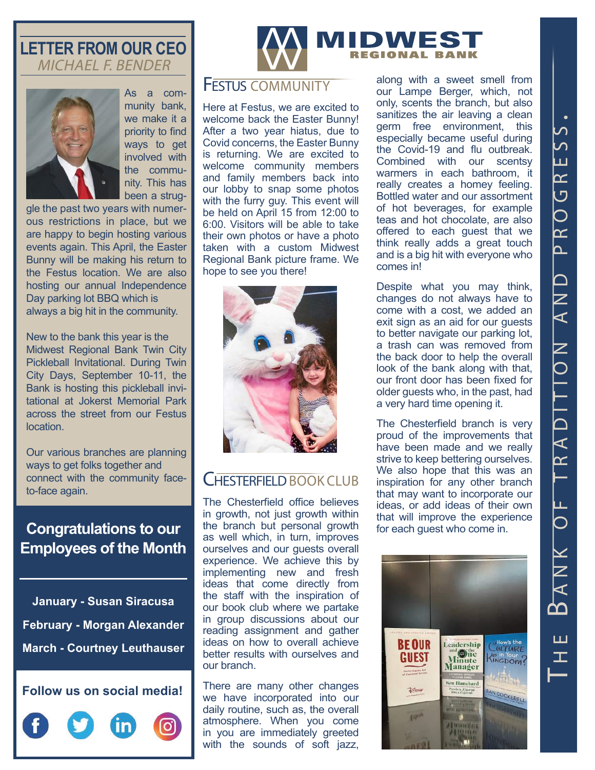### **LETTER FROM OUR CEO** MICHAEL F. BENDER



As a community bank, we make it a priority to find ways to get involved with the community. This has been a strug-

gle the past two years with numerous restrictions in place, but we are happy to begin hosting various events again. This April, the Easter Bunny will be making his return to the Festus location. We are also hosting our annual Independence Day parking lot BBQ which is always a big hit in the community.

New to the bank this year is the Midwest Regional Bank Twin City Pickleball Invitational. During Twin City Days, September 10-11, the Bank is hosting this pickleball invitational at Jokerst Memorial Park across the street from our Festus location.

Our various branches are planning ways to get folks together and connect with the community faceto-face again.

# **Congratulations to our Employees of the Month**

**January - Susan Siracusa February - Morgan Alexander March - Courtney Leuthauser**





## Festus COMMUNITY

Here at Festus, we are excited to welcome back the Easter Bunny! After a two year hiatus, due to Covid concerns, the Easter Bunny is returning. We are excited to welcome community members and family members back into our lobby to snap some photos with the furry guy. This event will be held on April 15 from 12:00 to 6:00. Visitors will be able to take their own photos or have a photo taken with a custom Midwest Regional Bank picture frame. We hope to see you there!



# CHESTERFIELD BOOK CLUB

The Chesterfield office believes in growth, not just growth within the branch but personal growth as well which, in turn, improves ourselves and our guests overall experience. We achieve this by implementing new and fresh ideas that come directly from the staff with the inspiration of our book club where we partake in group discussions about our reading assignment and gather ideas on how to overall achieve better results with ourselves and our branch.

There are many other changes we have incorporated into our daily routine, such as, the overall atmosphere. When you come in you are immediately greeted with the sounds of soft jazz,

along with a sweet smell from our Lampe Berger, which, not only, scents the branch, but also sanitizes the air leaving a clean germ free environment, this especially became useful during the Covid-19 and flu outbreak. Combined with our scentsy warmers in each bathroom, it really creates a homey feeling. Bottled water and our assortment of hot beverages, for example teas and hot chocolate, are also offered to each guest that we think really adds a great touch and is a big hit with everyone who comes in!

Despite what you may think, changes do not always have to come with a cost, we added an exit sign as an aid for our guests to better navigate our parking lot, a trash can was removed from the back door to help the overall look of the bank along with that, our front door has been fixed for older guests who, in the past, had a very hard time opening it.

The Chesterfield branch is very proud of the improvements that have been made and we really strive to keep bettering ourselves. We also hope that this was an inspiration for any other branch that may want to incorporate our ideas, or add ideas of their own that will improve the experience for each guest who come in.